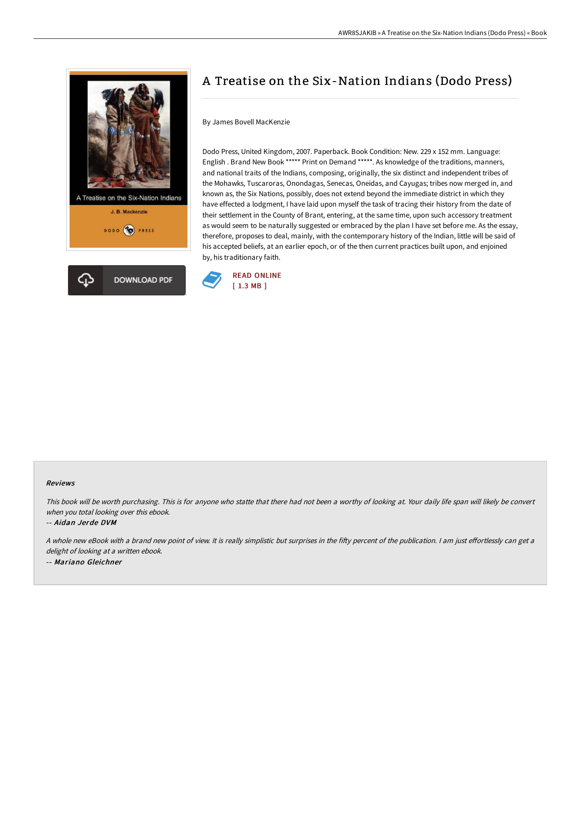

# A Treatise on the Six-Nation Indians (Dodo Press)

## By James Bovell MacKenzie

Dodo Press, United Kingdom, 2007. Paperback. Book Condition: New. 229 x 152 mm. Language: English . Brand New Book \*\*\*\*\* Print on Demand \*\*\*\*\*. As knowledge of the traditions, manners, and national traits of the Indians, composing, originally, the six distinct and independent tribes of the Mohawks, Tuscaroras, Onondagas, Senecas, Oneidas, and Cayugas; tribes now merged in, and known as, the Six Nations, possibly, does not extend beyond the immediate district in which they have effected a lodgment, I have laid upon myself the task of tracing their history from the date of their settlement in the County of Brant, entering, at the same time, upon such accessory treatment as would seem to be naturally suggested or embraced by the plan I have set before me. As the essay, therefore, proposes to deal, mainly, with the contemporary history of the Indian, little will be said of his accepted beliefs, at an earlier epoch, or of the then current practices built upon, and enjoined by, his traditionary faith.



#### Reviews

This book will be worth purchasing. This is for anyone who statte that there had not been <sup>a</sup> worthy of looking at. Your daily life span will likely be convert when you total looking over this ebook.

## -- Aidan Jerde DVM

A whole new eBook with a brand new point of view. It is really simplistic but surprises in the fifty percent of the publication. I am just effortlessly can get a delight of looking at <sup>a</sup> written ebook. -- Mariano Gleichner